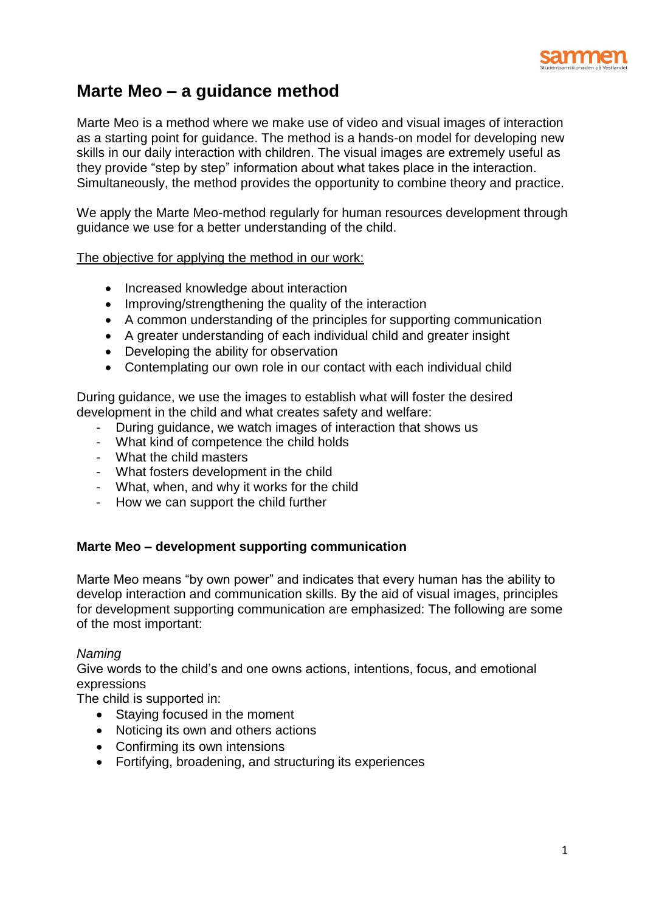

# **Marte Meo – a guidance method**

Marte Meo is a method where we make use of video and visual images of interaction as a starting point for guidance. The method is a hands-on model for developing new skills in our daily interaction with children. The visual images are extremely useful as they provide "step by step" information about what takes place in the interaction. Simultaneously, the method provides the opportunity to combine theory and practice.

We apply the Marte Meo-method regularly for human resources development through guidance we use for a better understanding of the child.

## The objective for applying the method in our work:

- Increased knowledge about interaction
- Improving/strengthening the quality of the interaction
- A common understanding of the principles for supporting communication
- A greater understanding of each individual child and greater insight
- Developing the ability for observation
- Contemplating our own role in our contact with each individual child

During guidance, we use the images to establish what will foster the desired development in the child and what creates safety and welfare:

- During guidance, we watch images of interaction that shows us
- What kind of competence the child holds
- What the child masters
- What fosters development in the child
- What, when, and why it works for the child
- How we can support the child further

## **Marte Meo – development supporting communication**

Marte Meo means "by own power" and indicates that every human has the ability to develop interaction and communication skills. By the aid of visual images, principles for development supporting communication are emphasized: The following are some of the most important:

## *Naming*

Give words to the child's and one owns actions, intentions, focus, and emotional expressions

The child is supported in:

- Staying focused in the moment
- Noticing its own and others actions
- Confirming its own intensions
- Fortifying, broadening, and structuring its experiences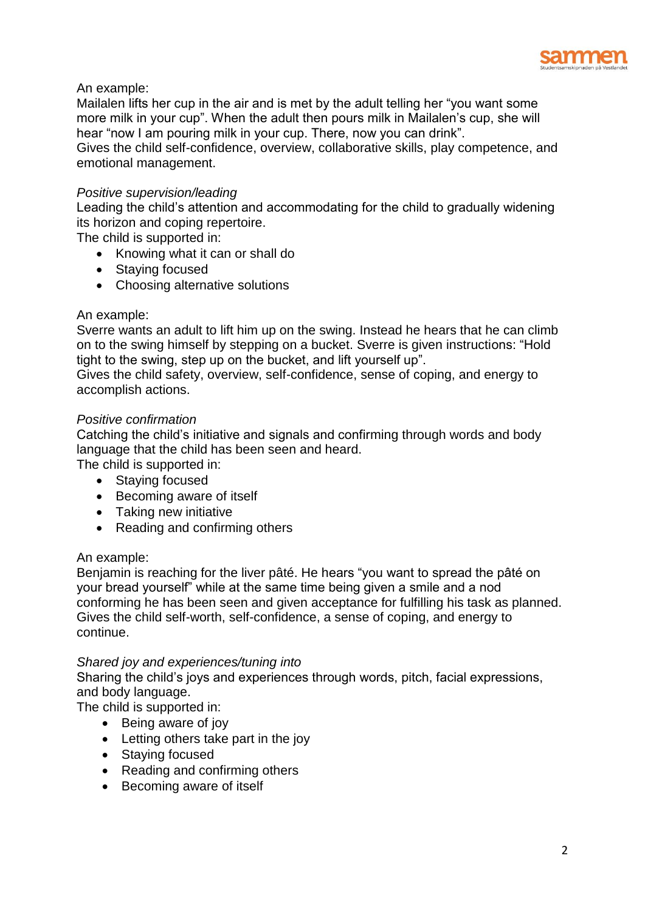

# An example:

Mailalen lifts her cup in the air and is met by the adult telling her "you want some more milk in your cup". When the adult then pours milk in Mailalen's cup, she will hear "now I am pouring milk in your cup. There, now you can drink".

Gives the child self-confidence, overview, collaborative skills, play competence, and emotional management.

## *Positive supervision/leading*

Leading the child's attention and accommodating for the child to gradually widening its horizon and coping repertoire.

The child is supported in:

- Knowing what it can or shall do
- Staying focused
- Choosing alternative solutions

#### An example:

Sverre wants an adult to lift him up on the swing. Instead he hears that he can climb on to the swing himself by stepping on a bucket. Sverre is given instructions: "Hold tight to the swing, step up on the bucket, and lift yourself up".

Gives the child safety, overview, self-confidence, sense of coping, and energy to accomplish actions.

#### *Positive confirmation*

Catching the child's initiative and signals and confirming through words and body language that the child has been seen and heard.

The child is supported in:

- Staying focused
- Becoming aware of itself
- Taking new initiative
- Reading and confirming others

## An example:

Benjamin is reaching for the liver pâté. He hears "you want to spread the pâté on your bread yourself" while at the same time being given a smile and a nod conforming he has been seen and given acceptance for fulfilling his task as planned. Gives the child self-worth, self-confidence, a sense of coping, and energy to continue.

## *Shared joy and experiences/tuning into*

Sharing the child's joys and experiences through words, pitch, facial expressions, and body language.

The child is supported in:

- Being aware of joy
- Letting others take part in the joy
- Staying focused
- Reading and confirming others
- Becoming aware of itself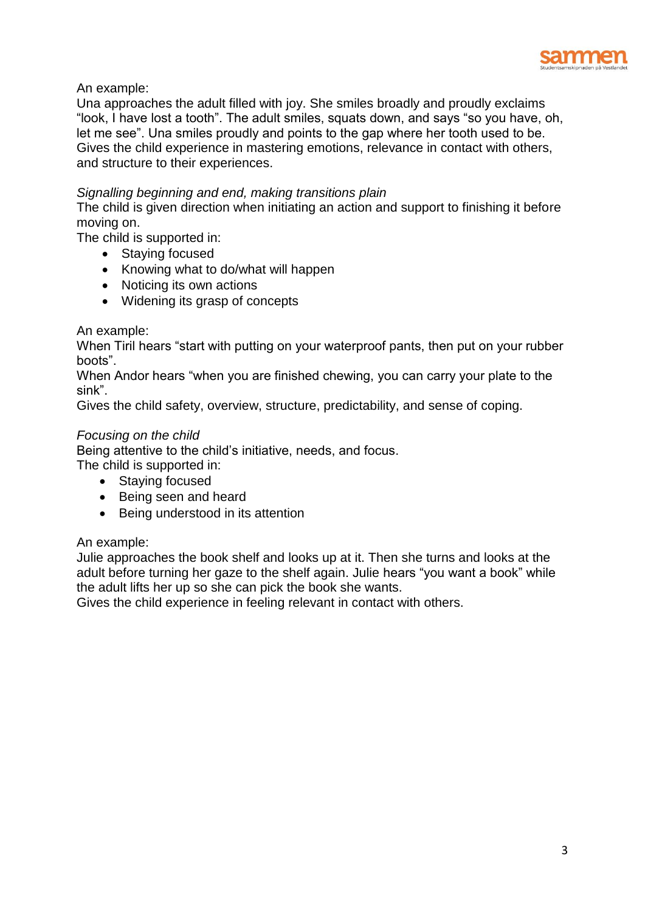

An example:

Una approaches the adult filled with joy. She smiles broadly and proudly exclaims "look, I have lost a tooth". The adult smiles, squats down, and says "so you have, oh, let me see". Una smiles proudly and points to the gap where her tooth used to be. Gives the child experience in mastering emotions, relevance in contact with others, and structure to their experiences.

# *Signalling beginning and end, making transitions plain*

The child is given direction when initiating an action and support to finishing it before moving on.

The child is supported in:

- Staying focused
- Knowing what to do/what will happen
- Noticing its own actions
- Widening its grasp of concepts

## An example:

When Tiril hears "start with putting on your waterproof pants, then put on your rubber boots".

When Andor hears "when you are finished chewing, you can carry your plate to the sink".

Gives the child safety, overview, structure, predictability, and sense of coping.

## *Focusing on the child*

Being attentive to the child's initiative, needs, and focus.

The child is supported in:

- Staying focused
- Being seen and heard
- Being understood in its attention

## An example:

Julie approaches the book shelf and looks up at it. Then she turns and looks at the adult before turning her gaze to the shelf again. Julie hears "you want a book" while the adult lifts her up so she can pick the book she wants.

Gives the child experience in feeling relevant in contact with others.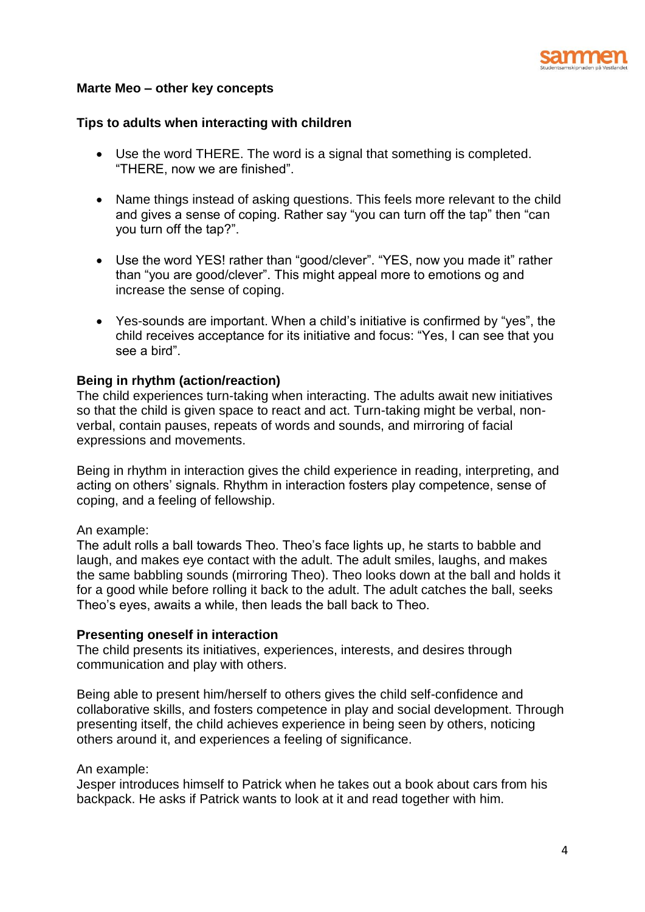

## **Marte Meo – other key concepts**

#### **Tips to adults when interacting with children**

- Use the word THERE. The word is a signal that something is completed. "THERE, now we are finished".
- Name things instead of asking questions. This feels more relevant to the child and gives a sense of coping. Rather say "you can turn off the tap" then "can you turn off the tap?".
- Use the word YES! rather than "good/clever". "YES, now you made it" rather than "you are good/clever". This might appeal more to emotions og and increase the sense of coping.
- Yes-sounds are important. When a child's initiative is confirmed by "yes", the child receives acceptance for its initiative and focus: "Yes, I can see that you see a bird".

#### **Being in rhythm (action/reaction)**

The child experiences turn-taking when interacting. The adults await new initiatives so that the child is given space to react and act. Turn-taking might be verbal, nonverbal, contain pauses, repeats of words and sounds, and mirroring of facial expressions and movements.

Being in rhythm in interaction gives the child experience in reading, interpreting, and acting on others' signals. Rhythm in interaction fosters play competence, sense of coping, and a feeling of fellowship.

#### An example:

The adult rolls a ball towards Theo. Theo's face lights up, he starts to babble and laugh, and makes eye contact with the adult. The adult smiles, laughs, and makes the same babbling sounds (mirroring Theo). Theo looks down at the ball and holds it for a good while before rolling it back to the adult. The adult catches the ball, seeks Theo's eyes, awaits a while, then leads the ball back to Theo.

#### **Presenting oneself in interaction**

The child presents its initiatives, experiences, interests, and desires through communication and play with others.

Being able to present him/herself to others gives the child self-confidence and collaborative skills, and fosters competence in play and social development. Through presenting itself, the child achieves experience in being seen by others, noticing others around it, and experiences a feeling of significance.

#### An example:

Jesper introduces himself to Patrick when he takes out a book about cars from his backpack. He asks if Patrick wants to look at it and read together with him.